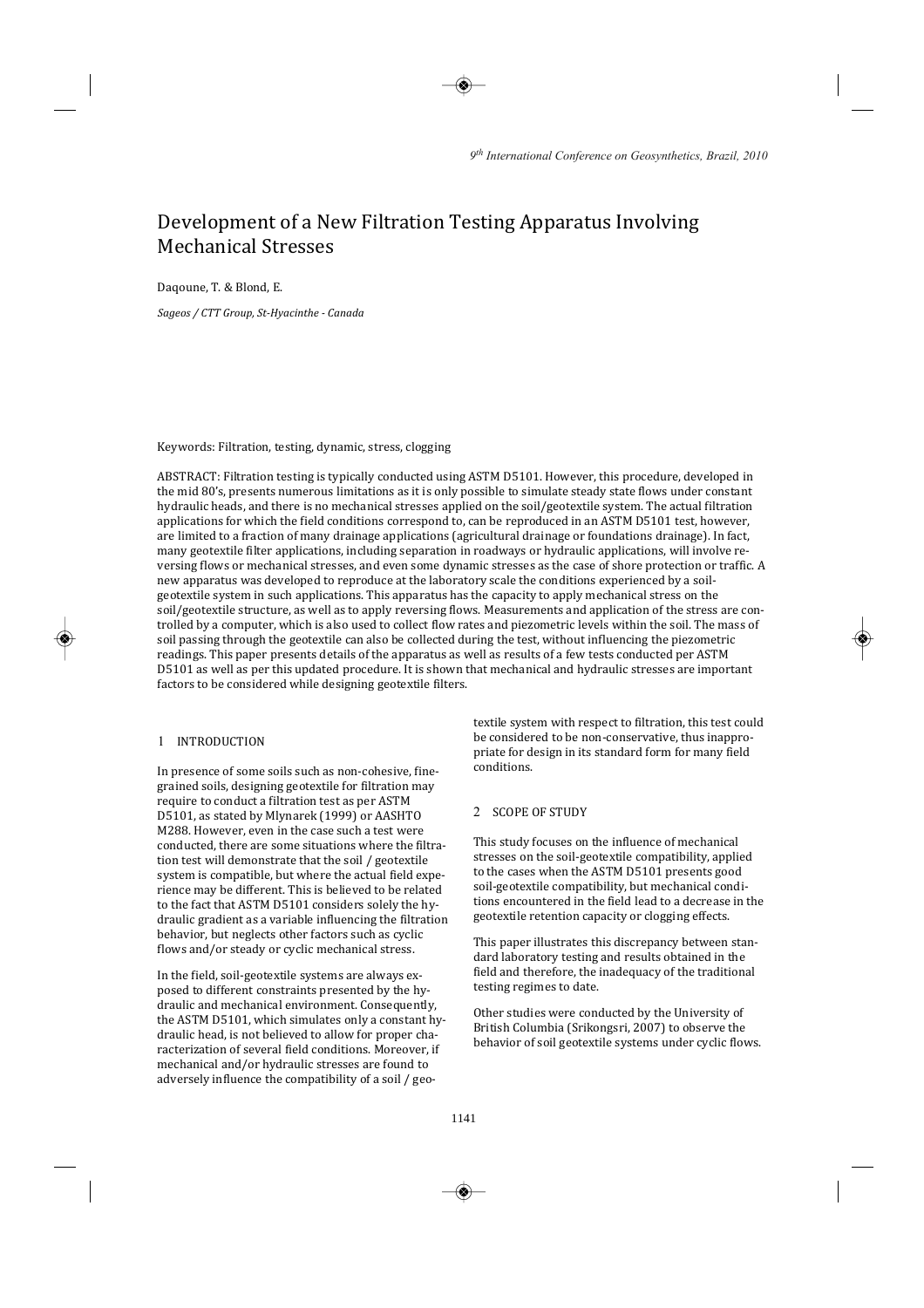# Development of a New Filtration Testing Apparatus Involving **Mechanical Stresses**

Dagoune, T. & Blond, E.

Sageos / CTT Group, St-Hyacinthe - Canada

Keywords: Filtration, testing, dynamic, stress, clogging

ABSTRACT: Filtration testing is typically conducted using ASTM D5101. However, this procedure, developed in the mid 80's, presents numerous limitations as it is only possible to simulate steady state flows under constant hydraulic heads, and there is no mechanical stresses applied on the soil/geotextile system. The actual filtration applications for which the field conditions correspond to, can be reproduced in an ASTM D5101 test, however, are limited to a fraction of many drainage applications (agricultural drainage or foundations drainage). In fact, many geotextile filter applications, including separation in roadways or hydraulic applications, will involve reversing flows or mechanical stresses, and even some dynamic stresses as the case of shore protection or traffic. A new apparatus was developed to reproduce at the laboratory scale the conditions experienced by a soilgeotextile system in such applications. This apparatus has the capacity to apply mechanical stress on the soil/geotextile structure, as well as to apply reversing flows. Measurements and application of the stress are controlled by a computer, which is also used to collect flow rates and piezometric levels within the soil. The mass of soil passing through the geotextile can also be collected during the test, without influencing the piezometric readings. This paper presents details of the apparatus as well as results of a few tests conducted per ASTM D5101 as well as per this updated procedure. It is shown that mechanical and hydraulic stresses are important factors to be considered while designing geotextile filters.

### 1 INTRODUCTION

In presence of some soils such as non-cohesive, finegrained soils, designing geotextile for filtration may require to conduct a filtration test as per ASTM D5101, as stated by Mlynarek (1999) or AASHTO M288. However, even in the case such a test were conducted, there are some situations where the filtration test will demonstrate that the soil / geotextile system is compatible, but where the actual field experience may be different. This is believed to be related to the fact that ASTM D5101 considers solely the hydraulic gradient as a variable influencing the filtration behavior, but neglects other factors such as cyclic flows and/or steady or cyclic mechanical stress.

In the field, soil-geotextile systems are always exposed to different constraints presented by the hydraulic and mechanical environment. Consequently, the ASTM D5101, which simulates only a constant hydraulic head, is not believed to allow for proper characterization of several field conditions. Moreover, if mechanical and/or hydraulic stresses are found to adversely influence the compatibility of a soil / geo-

textile system with respect to filtration, this test could be considered to be non-conservative, thus inappropriate for design in its standard form for many field conditions

### 2 SCOPE OF STUDY

This study focuses on the influence of mechanical stresses on the soil-geotextile compatibility, applied to the cases when the ASTM D5101 presents good soil-geotextile compatibility, but mechanical conditions encountered in the field lead to a decrease in the geotextile retention capacity or clogging effects.

This paper illustrates this discrepancy between standard laboratory testing and results obtained in the field and therefore, the inadequacy of the traditional testing regimes to date.

Other studies were conducted by the University of British Columbia (Srikongsri, 2007) to observe the behavior of soil geotextile systems under cyclic flows.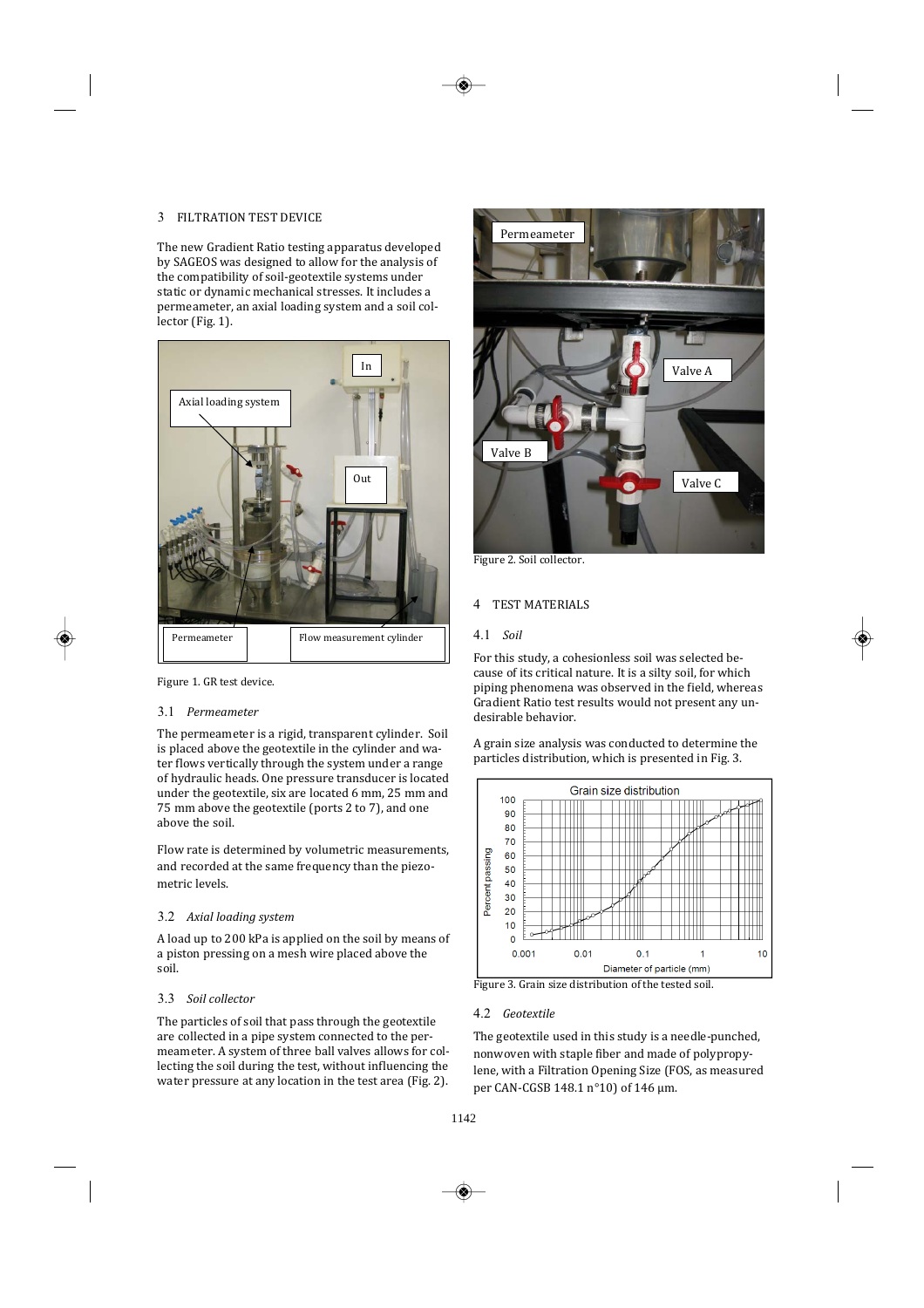# 3 FILTRATION TEST DEVICE

3 FILTRATION TEST DEVICE<br>The new Gradient Ratio testing apparatus developed by SAGEOS was designed to allow for the analysis of the compatibility of soil-geotextile systems under static or dynamic mechanical stresses. It includes a permeameter, an axial loading system and a soil collector (Fig. 1).



Figure 1. GR test device.

#### 3.1 *Permeameter*  $J<sub>1</sub>$  remedimed  $\epsilon$ <sub> $\epsilon$ </sub>

The permeameter is a rigid, transparent cylinder. Soil is placed above the geotextile in the cylinder and water flows vertically through the system under a range under the geotextile, six are located 6 mm, 25 mm and of hydraulic heads. One pressure transducer is loca 75 mm above the geotextile (ports 2 to 7), and one ahove the soil  $\mathbf{u}$  $\mathcal{L}$ 

Flow rate is determined by volumetric measurements, and recorded at the same frequency than the piezometric levels.

### 3.2 Axial loading system 3.2 Axiul louulily system

A load up to 200 kPa is applied on the soil by means of a piston pressing on a mesh wire placed above the soil.

### 3.3 *Soil-collector-*  $\mathcal{S} \mathcal{S}$  surfulled by

The particles of soil that pass through the geotextile are collected in a pipe system connected to the permeameter. A system of three ball valves allows for collecting the soil during the test, without influencing the water pressure at any location in the test area (Fig. 2).



Figure 2. Soil collector.

### 4 TEST MATERIALS

### 4.1 *Soil-*  $7.1 \, \text{J}$

For this study, a cohesionless soil was selected because of its critical nature. It is a silty soil, for which its <mark>c</mark><br>hend<br>: Rat Gradient Ratio test results would not present any unpiping phenomena desirable behavior. "  $\mathcal{L}(\mathcal{L})$ 

particles distribution, which is presented in Fig. 3.



Figure 3. Grain size distribution of the tested soil.

#### 4.2 *Geotextile*  $\frac{1}{2}$  desterned  $\sim$

The geotextile used in this study is a needle-punched, nonwoven with staple fiber and made of polypropy lene, with a Filtration Opening Size (FOS, as measured per CAN-CGSB 148.1 n°10) of 146 µm.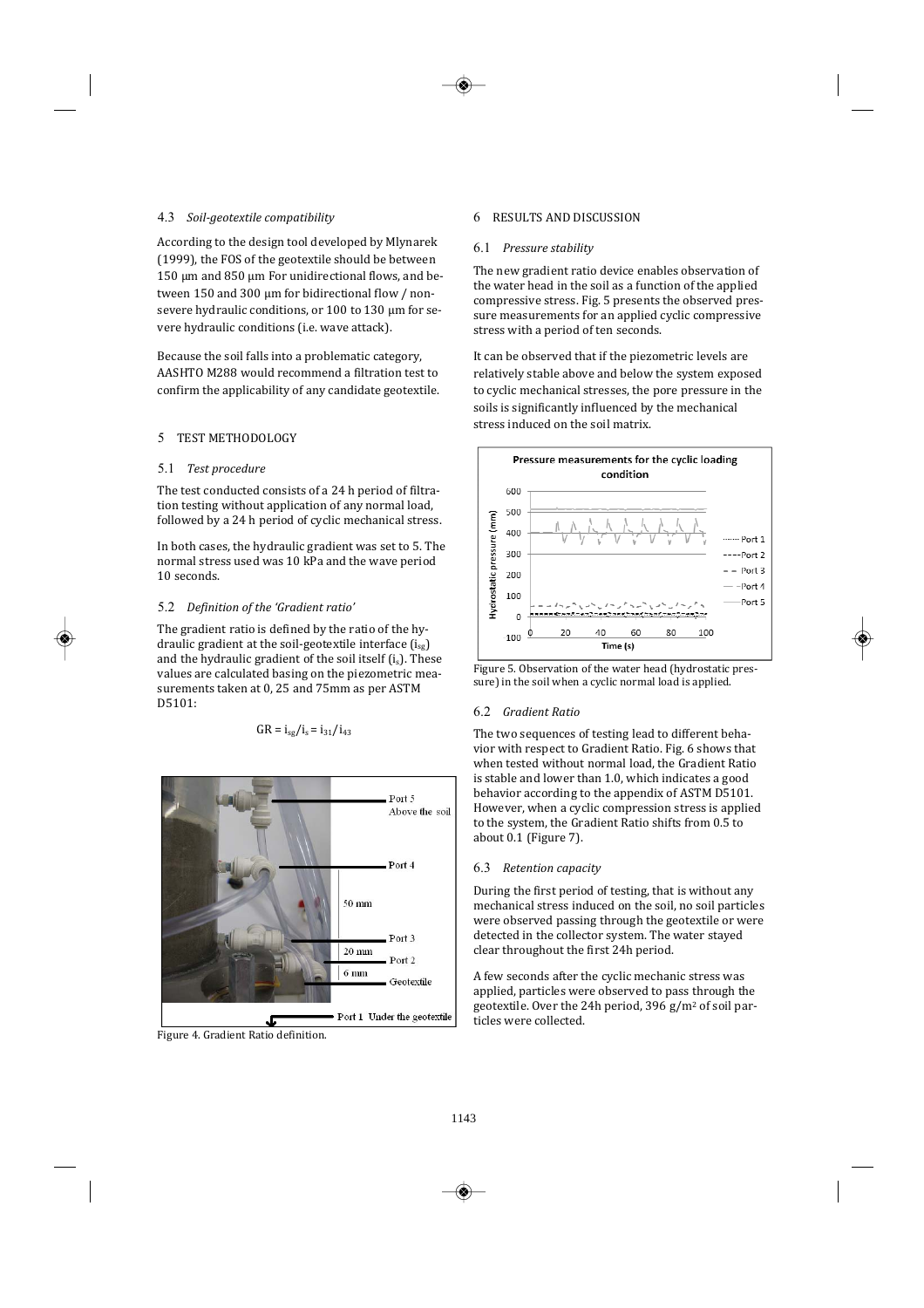## 4.3 Soil-geotextile compatibility

2\*9993 6 1 "// (1999), the FOS of the geotextile should be between  $\overline{\phantom{a}}$ According to the design tool developed by Mlynarek 150 µm and 850 µm For unidirectional flows, and be- $\overline{\text{t}}$ ween 150 and 300 µm for bidirectional flov vere hydraulic conditions (i.e. wave attack).

AASHTO M288 would recommend a filtration test to Because the soil falls into a problematic category,

### 5 TEST METHODOLOGY

#### 5.1 Test procedure  $\epsilon$  1 Ĭ  $\mu$ . Test procedure

The test conducted consists of a 24 h period of filtration testing without application of any normal load, followed by a 24 h period of cyclic mechanical stress.  $\mathcal{L}$   $\mathcal{L}$ 

In both cases, the hydraulic gradient was set to 5. The 10 seconds.

#### 5.2 Definition of the 'Gradient ratio'  $3.2$  Definition of the drament rat  $\overline{a}$

 $2.2$  Befinition by the Griddent Patio<br>The gradient ratio is defined by the ratio of the hy-<br>draulic gradient at the soil-geotextile interface (i...) draulic gradient at the soil-geotextile interface  $(i_{sg})$ and the hydraulic gradient of the soil itself  $(i_s)$ . These values are calculated basing on the piezometric measurements taken at 0, 25 and 75mm as per ASTM  $GR = i_{ss}/i_s = i_{31}/i_{43}$ D5101:

$$
GR = i_{sg}/i_s = i_{31}/i_{43}
$$



Figure 4. Gradient Ratio definition.

### 6 RESULTS AND DISCUSSION

#### 6.1 *Pressure stability*  $0.1 \quad$  The state stab  $\frac{m}{2}$

The new gradient ratio device enables observation of the water head in the soil as a function of the applied sure measurements for an applied cyclic compressive compressive stress. Fig. 5 presents t stress with a neriod of ten seconds.  $\mathbf{r}$ 

it can be observed that if the piezometric levels are relatively stable above and below the system exposed to cyclic mechanical stresses, the soils is significantly influenced by the mechanical stress induced on the soil matrix.





#### 6.2 *Gradient-Ratio-*  $0.2$  arduient Kuts  $\overline{\mathcal{O}}$

; lea<br>: Rat The two sequences of testing lead to different behapeha<br>'s th<br>: Rat when tested without normal load, the Gradient Ratio vior with respect to Gradient Ratio. Fig. 6 shows tha behavior according to the appendix of ASTM D5101. is stable and lower than 1.0, which indicates a good <mark>ippe</mark><br>npr<br>: Rat to the system, the Gradient Ratio shifts from 0.5 to However, when a cyc about 0.1 (Figure 7).

### 6.3 Retention capacity 0.5 Retention capacity

During the first period of testing, that is without any were observed passing through the geotextile or were mechanical stress induced on the soil, no soil parti detected in the collector system. The water stayed  $\frac{1}{2}$  clear throughout the first 24h period.  $\overline{\phantom{a}}$  $\mathbf{e}$ 

A few seconds after the cyclic mechanic stress was<br>small also activities was also well to get the specific has applied, particles were observed to pass through the geotextile. Over the 24h period, 396 g/m<sup>2</sup> of soil particles were collected.